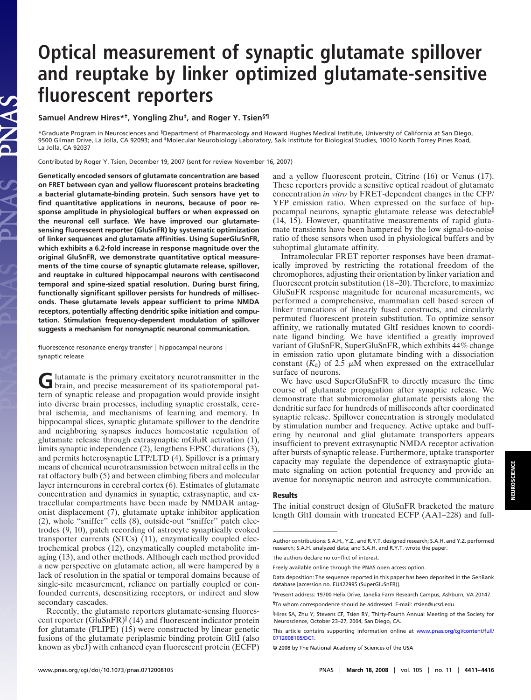# **Optical measurement of synaptic glutamate spillover and reuptake by linker optimized glutamate-sensitive fluorescent reporters**

**Samuel Andrew Hires\*†, Yongling Zhu‡, and Roger Y. Tsien§¶**

AS<sup></sup>

\*Graduate Program in Neurosciences and §Department of Pharmacology and Howard Hughes Medical Institute, University of California at San Diego, 9500 Gilman Drive, La Jolla, CA 92093; and ‡Molecular Neurobiology Laboratory, Salk Institute for Biological Studies, 10010 North Torrey Pines Road, La Jolla, CA 92037

Contributed by Roger Y. Tsien, December 19, 2007 (sent for review November 16, 2007)

**Genetically encoded sensors of glutamate concentration are based on FRET between cyan and yellow fluorescent proteins bracketing a bacterial glutamate-binding protein. Such sensors have yet to find quantitative applications in neurons, because of poor response amplitude in physiological buffers or when expressed on the neuronal cell surface. We have improved our glutamatesensing fluorescent reporter (GluSnFR) by systematic optimization of linker sequences and glutamate affinities. Using SuperGluSnFR, which exhibits a 6.2-fold increase in response magnitude over the original GluSnFR, we demonstrate quantitative optical measurements of the time course of synaptic glutamate release, spillover, and reuptake in cultured hippocampal neurons with centisecond temporal and spine-sized spatial resolution. During burst firing, functionally significant spillover persists for hundreds of milliseconds. These glutamate levels appear sufficient to prime NMDA receptors, potentially affecting dendritic spike initiation and computation. Stimulation frequency-dependent modulation of spillover suggests a mechanism for nonsynaptic neuronal communication.**

fluorescence resonance energy transfer | hippocampal neurons | synaptic release

G lutamate is the primary excitatory neurotransmitter in the brain, and precise measurement of its spatiotemporal pattern of synaptic release and propagation would provide insight into diverse brain processes, including synaptic crosstalk, cerebral ischemia, and mechanisms of learning and memory. In hippocampal slices, synaptic glutamate spillover to the dendrite and neighboring synapses induces homeostatic regulation of glutamate release through extrasynaptic mGluR activation (1), limits synaptic independence (2), lengthens EPSC durations (3), and permits heterosynaptic LTP/LTD (4). Spillover is a primary means of chemical neurotransmission between mitral cells in the rat olfactory bulb (5) and between climbing fibers and molecular layer interneurons in cerebral cortex (6). Estimates of glutamate concentration and dynamics in synaptic, extrasynaptic, and extracellular compartments have been made by NMDAR antagonist displacement (7), glutamate uptake inhibitor application (2), whole ''sniffer'' cells (8), outside-out ''sniffer'' patch electrodes (9, 10), patch recording of astrocyte synaptically evoked transporter currents (STCs) (11), enzymatically coupled electrochemical probes (12), enzymatically coupled metabolite imaging (13), and other methods. Although each method provided a new perspective on glutamate action, all were hampered by a lack of resolution in the spatial or temporal domains because of single-site measurement, reliance on partially coupled or confounded currents, desensitizing receptors, or indirect and slow secondary cascades.

Recently, the glutamate reporters glutamate-sensing fluorescent reporter (GluSnFR)<sup> $\parallel$ </sup> (14) and fluorescent indicator protein for glutamate (FLIPE) (15) were constructed by linear genetic fusions of the glutamate periplasmic binding protein GltI (also known as ybeJ) with enhanced cyan fluorescent protein (ECFP) and a yellow fluorescent protein, Citrine (16) or Venus (17). These reporters provide a sensitive optical readout of glutamate concentration *in vitro* by FRET-dependent changes in the CFP/ YFP emission ratio. When expressed on the surface of hippocampal neurons, synaptic glutamate release was detectable (14, 15). However, quantitative measurements of rapid glutamate transients have been hampered by the low signal-to-noise ratio of these sensors when used in physiological buffers and by suboptimal glutamate affinity.

Intramolecular FRET reporter responses have been dramatically improved by restricting the rotational freedom of the chromophores, adjusting their orientation by linker variation and fluorescent protein substitution (18–20). Therefore, to maximize GluSnFR response magnitude for neuronal measurements, we performed a comprehensive, mammalian cell based screen of linker truncations of linearly fused constructs, and circularly permuted fluorescent protein substitution. To optimize sensor affinity, we rationally mutated GltI residues known to coordinate ligand binding. We have identified a greatly improved variant of GluSnFR, SuperGluSnFR, which exhibits 44% change in emission ratio upon glutamate binding with a dissociation constant  $(K_d)$  of 2.5  $\mu$ M when expressed on the extracellular surface of neurons.

We have used SuperGluSnFR to directly measure the time course of glutamate propagation after synaptic release. We demonstrate that submicromolar glutamate persists along the dendritic surface for hundreds of milliseconds after coordinated synaptic release. Spillover concentration is strongly modulated by stimulation number and frequency. Active uptake and buffering by neuronal and glial glutamate transporters appears insufficient to prevent extrasynaptic NMDA receptor activation after bursts of synaptic release. Furthermore, uptake transporter capacity may regulate the dependence of extrasynaptic glutamate signaling on action potential frequency and provide an avenue for nonsynaptic neuron and astrocyte communication.

#### **Results**

The initial construct design of GluSnFR bracketed the mature length GltI domain with truncated ECFP (AA1–228) and full-

Author contributions: S.A.H., Y.Z., and R.Y.T. designed research; S.A.H. and Y.Z. performed research; S.A.H. analyzed data; and S.A.H. and R.Y.T. wrote the paper.

The authors declare no conflict of interest.

Freely available online through the PNAS open access option.

Data deposition: The sequence reported in this paper has been deposited in the GenBank database [accession no. EU422995 (SuperGluSnFR)].

<sup>†</sup>Present address: 19700 Helix Drive, Janelia Farm Research Campus, Ashburn, VA 20147.

<sup>¶</sup>To whom correspondence should be addressed. E-mail: rtsien@ucsd.edu.

<sup>-</sup> Hires SA, Zhu Y, Stevens CF, Tsien RY, Thirty-Fourth Annual Meeting of the Society for Neuroscience, October 23–27, 2004, San Diego, CA.

This article contains supporting information online at [www.pnas.org/cgi/content/full/](http://www.pnas.org/cgi/content/full/0712008105/DC1) [0712008105/DC1.](http://www.pnas.org/cgi/content/full/0712008105/DC1)

<sup>© 2008</sup> by The National Academy of Sciences of the USA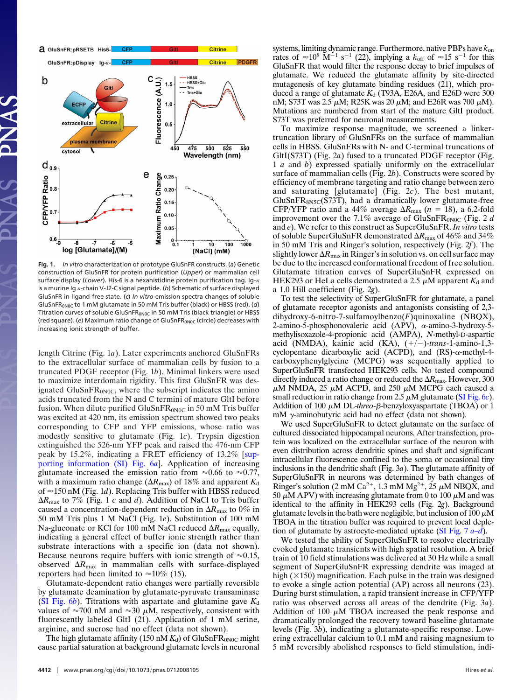

**Fig. 1.** *In vitro* characterization of prototype GluSnFR constructs. (*a*) Genetic construction of GluSnFR for protein purification (*Upper*) or mammalian cell surface display (*Lower*). His-6 is a hexahistidine protein purification tag. Ig is a murine Ig  $\kappa$ -chain V-J2-C signal peptide. (b) Schematic of surface displayed GluSnFR in ligand-free state. (*c*) *In vitro* emission spectra changes of soluble GluSnFR0N0C to 1 mM glutamate in 50 mM Tris buffer (black) or HBSS (red). (*d*) Titration curves of soluble GluSnFR<sub>0N0C</sub> in 50 mM Tris (black triangle) or HBSS (red square). (e) Maximum ratio change of GluSnFR<sub>0N0C</sub> (circle) decreases with increasing ionic strength of buffer.

length Citrine (Fig. 1*a*). Later experiments anchored GluSnFRs to the extracellular surface of mammalian cells by fusion to a truncated PDGF receptor (Fig. 1*b*). Minimal linkers were used to maximize interdomain rigidity. This first GluSnFR was designated  $GluSnFR<sub>0NOC</sub>$ , where the subscript indicates the amino acids truncated from the N and C termini of mature GltI before fusion. When dilute purified GluSnFR<sub>0N0C</sub> in 50 mM Tris buffer was excited at 420 nm, its emission spectrum showed two peaks corresponding to CFP and YFP emissions, whose ratio was modestly sensitive to glutamate (Fig. 1*c*). Trypsin digestion extinguished the 526-nm YFP peak and raised the 476-nm CFP peak by 15.2%, indicating a FRET efficiency of 13.2% [\[sup](http://www.pnas.org/cgi/content/full/0712008105/DC1)[porting information \(SI\) Fig. 6](http://www.pnas.org/cgi/content/full/0712008105/DC1)*a*]. Application of increasing glutamate increased the emission ratio from  $\approx 0.66$  to  $\approx 0.77$ , with a maximum ratio change ( $\Delta R_{\rm max}$ ) of 18% and apparent  $K_{\rm d}$ of  $\approx$ 150 nM (Fig. 1*d*). Replacing Tris buffer with HBSS reduced  $\Delta R_{\text{max}}$  to 7% (Fig. 1 *c* and *d*). Addition of NaCl to Tris buffer caused a concentration-dependent reduction in  $\Delta R_{\text{max}}$  to 0% in 50 mM Tris plus 1 M NaCl (Fig. 1*e*). Substitution of 100 mM Na-gluconate or KCl for 100 mM NaCl reduced  $\Delta R_{\rm max}$  equally, indicating a general effect of buffer ionic strength rather than substrate interactions with a specific ion (data not shown). Because neurons require buffers with ionic strength of  $\approx 0.15$ , observed  $\Delta R_{\text{max}}$  in mammalian cells with surface-displayed reporters had been limited to  $\approx 10\%$  (15).

Glutamate-dependent ratio changes were partially reversible by glutamate deamination by glutamate-pyruvate transaminase (SI Fig.  $6b$ ). Titrations with aspartate and glutamine gave  $K_d$ values of  $\approx 700$  nM and  $\approx 30 \mu$ M, respectively, consistent with fluorescently labeled GltI (21). Application of 1 mM serine, arginine, and sucrose had no effect (data not shown).

The high glutamate affinity (150 nM  $K_d$ ) of GluSnFR<sub>0N0C</sub> might cause partial saturation at background glutamate levels in neuronal systems, limiting dynamic range. Furthermore, native PBPs have *k*on rates of  $\approx 10^8$  M<sup>-1</sup> s<sup>-1</sup> (22), implying a  $k_{off}$  of  $\approx 15$  s<sup>-1</sup> for this GluSnFR that would filter the response decay to brief impulses of glutamate. We reduced the glutamate affinity by site-directed mutagenesis of key glutamate binding residues (21), which produced a range of glutamate  $K_d$  (T93A, E26A, and E26D were 300 nM; S73T was 2.5  $\mu$ M; R25K was 20  $\mu$ M; and E26R was 700  $\mu$ M). Mutations are numbered from start of the mature GltI product. S73T was preferred for neuronal measurements.

To maximize response magnitude, we screened a linkertruncation library of GluSnFRs on the surface of mammalian cells in HBSS. GluSnFRs with N- and C-terminal truncations of GltI(S73T) (Fig. 2*a*) fused to a truncated PDGF receptor (Fig. 1 *a* and *b*) expressed spatially uniformly on the extracellular surface of mammalian cells (Fig. 2*b*). Constructs were scored by efficiency of membrane targeting and ratio change between zero and saturating [glutamate] (Fig. 2*c*). The best mutant, GluSnFR8N5C(S73T), had a dramatically lower glutamate-free CFP/YFP ratio and a 44% average  $\Delta R_{\text{max}}$  (*n* = 18), a 6.2-fold improvement over the 7.1% average of GluSnFR<sub>0N0C</sub> (Fig. 2 *d* and *e*). We refer to this construct as SuperGluSnFR. *In vitro* tests of soluble SuperGluSnFR demonstrated  $\Delta R_{\rm max}$  of 46% and 34% in 50 mM Tris and Ringer's solution, respectively (Fig. 2*f*). The slightly lower  $\Delta R_{\rm max}$  in Ringer's in solution vs. on cell surface may be due to the increased conformational freedom of free solution. Glutamate titration curves of SuperGluSnFR expressed on HEK293 or HeLa cells demonstrated a 2.5  $\mu$ M apparent  $K_d$  and a 1.0 Hill coefficient (Fig. 2*g*).

To test the selectivity of SuperGluSnFR for glutamate, a panel of glutamate receptor agonists and antagonists consisting of 2,3 dihydroxy-6-nitro-7-sulfamoylbenzo(*F*)quinoxaline (NBQX),  $2$ -amino-5-phosphonovaleric acid (APV),  $\alpha$ -amino-3-hydroxy-5methylisoxazole-4-propionic acid (AMPA), *N*-methyl-D-aspartic acid (NMDA), kainic acid (KA),  $(+/-)$ -trans-1-amino-1,3cyclopentane dicarboxylic acid (ACPD), and  $(RS)$ - $\alpha$ -methyl-4carboxyphenylglycine (MCPG) was sequentially applied to SuperGluSnFR transfected HEK293 cells. No tested compound directly induced a ratio change or reduced the  $\Delta R_{\text{max}}$ . However, 300  $\mu$ M NMDA, 25  $\mu$ M ACPD, and 250  $\mu$ M MCPG each caused a small reduction in ratio change from 2.5  $\mu$ M glutamate [\(SI Fig. 6](http://www.pnas.org/cgi/content/full/0712008105/DC1)*c*). Addition of 100  $\mu$ M DL-*threo*- $\beta$ -benzyloxyaspartate (TBOA) or 1  $mM \gamma$ -aminobutyric acid had no effect (data not shown).

We used SuperGluSnFR to detect glutamate on the surface of cultured dissociated hippocampal neurons. After transfection, protein was localized on the extracellular surface of the neuron with even distribution across dendritic spines and shaft and significant intracellular fluorescence confined to the soma or occasional tiny inclusions in the dendritic shaft (Fig. 3*a*). The glutamate affinity of SuperGluSnFR in neurons was determined by bath changes of Ringer's solution (2 mM Ca<sup>2+</sup>, 1.3 mM Mg<sup>2+</sup>, 25  $\mu$ M NBQX, and 50  $\mu$  M APV) with increasing glutamate from 0 to 100  $\mu$  M and was identical to the affinity in HEK293 cells (Fig. 2*g*). Background glutamate levels in the bath were negligible, but inclusion of 100  $\mu$ M TBOA in the titration buffer was required to prevent local depletion of glutamate by astrocyte-mediated uptake [\(SI Fig. 7](http://www.pnas.org/cgi/content/full/0712008105/DC1) *a*–*d*).

We tested the ability of SuperGluSnFR to resolve electrically evoked glutamate transients with high spatial resolution. A brief train of 10 field stimulations was delivered at 30 Hz while a small segment of SuperGluSnFR expressing dendrite was imaged at high  $(\times 150)$  magnification. Each pulse in the train was designed to evoke a single action potential (AP) across all neurons (23). During burst stimulation, a rapid transient increase in CFP/YFP ratio was observed across all areas of the dendrite (Fig. 3*a*). Addition of 100  $\mu$ M TBOA increased the peak response and dramatically prolonged the recovery toward baseline glutamate levels (Fig. 3*b*), indicating a glutamate-specific response. Lowering extracellular calcium to 0.1 mM and raising magnesium to 5 mM reversibly abolished responses to field stimulation, indi-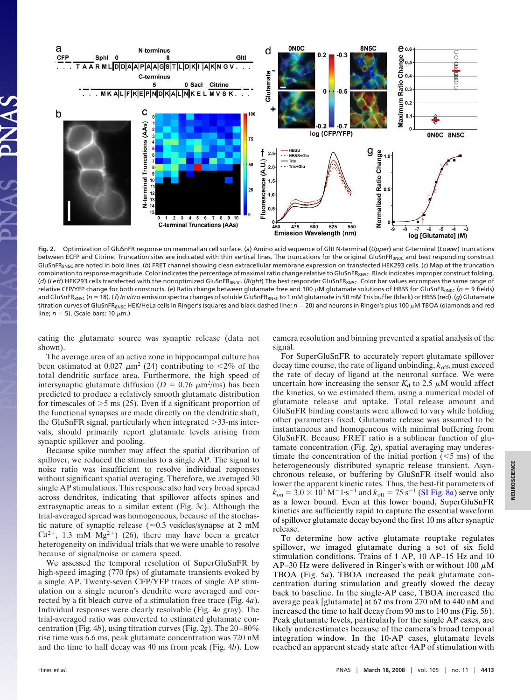

**Fig. 2.** Optimization of GluSnFR response on mammalian cell surface. (*a*) Amino acid sequence of GltI N-terminal (*Upper*) and C-terminal (*Lower*) truncations between ECFP and Citrine. Truncation sites are indicated with thin vertical lines. The truncations for the original GluSnFR<sub>0N0C</sub> and best responding construct GluSnFR8N5C are noted in bold lines. (*b*) FRET channel showing clean extracellular membrane expression on transfected HEK293 cells. (*c*) Map of the truncation combination to response magnitude. Color indicates the percentage of maximal ratio change relative to GluSnFR<sub>8N5C</sub>. Black indicates improper construct folding. (d) (Left) HEK293 cells transfected with the nonoptimized GluSnFR<sub>ONOC</sub>. (Right) The best responder GluSnFR<sub>8N5C</sub>. Color bar values encompass the same range of relative CFP/YFP change for both constructs. (e) Ratio change between glutamate free and 100  $\mu$ M glutamate solutions of HBSS for GluSnFR<sub>0N0C</sub> (*n* = 9 fields) and GluSnFR<sub>8N5C</sub> (*n* = 18). (*f*) *In vitro* emission spectra changes of soluble GluSnFR<sub>8N5C</sub> to 1 mM glutamate in 50 mM Tris buffer (black) or HBSS (red). (*g*) Glutamate titration curves of GluSnFR<sub>8N5C</sub> HEK/HeLa cells in Ringer's (squares and black dashed line;  $n = 20$ ) and neurons in Ringer's plus 100 µM TBOA (diamonds and red line;  $n = 5$ ). (Scale bars: 10  $\mu$ m.)

cating the glutamate source was synaptic release (data not shown).

The average area of an active zone in hippocampal culture has been estimated at 0.027  $\mu$ m<sup>2</sup> (24) contributing to <2\% of the total dendritic surface area. Furthermore, the high speed of intersynaptic glutamate diffusion ( $D = 0.76 \mu m^2/ms$ ) has been predicted to produce a relatively smooth glutamate distribution for timescales of  $>5$  ms (25). Even if a significant proportion of the functional synapses are made directly on the dendritic shaft, the GluSnFR signal, particularly when integrated  $>$ 33-ms intervals, should primarily report glutamate levels arising from

synaptic spillover and pooling. Because spike number may affect the spatial distribution of spillover, we reduced the stimulus to a single AP. The signal to noise ratio was insufficient to resolve individual responses without significant spatial averaging. Therefore, we averaged 30 single AP stimulations. This response also had very broad spread across dendrites, indicating that spillover affects spines and extrasynaptic areas to a similar extent (Fig. 3*c*). Although the trial-averaged spread was homogeneous, because of the stochastic nature of synaptic release ( $\approx 0.3$  vesicles/synapse at 2 mM  $Ca^{2+}$ , 1.3 mM  $Mg^{2+}$ ) (26), there may have been a greater heterogeneity on individual trials that we were unable to resolve because of signal/noise or camera speed.

We assessed the temporal resolution of SuperGluSnFR by high-speed imaging (770 fps) of glutamate transients evoked by a single AP. Twenty-seven CFP/YFP traces of single AP stimulation on a single neuron's dendrite were averaged and corrected by a fit bleach curve of a stimulation free trace (Fig. 4*a*). Individual responses were clearly resolvable (Fig. 4*a* gray). The trial-averaged ratio was converted to estimated glutamate concentration (Fig. 4*b*), using titration curves (Fig. 2*g*). The 20–80% rise time was 6.6 ms, peak glutamate concentration was 720 nM and the time to half decay was 40 ms from peak (Fig. 4*b*). Low camera resolution and binning prevented a spatial analysis of the signal.

For SuperGluSnFR to accurately report glutamate spillover decay time course, the rate of ligand unbinding,  $k_{\text{off}}$ , must exceed the rate of decay of ligand at the neuronal surface. We were uncertain how increasing the sensor  $K_d$  to 2.5  $\mu$ M would affect the kinetics, so we estimated them, using a numerical model of glutamate release and uptake. Total release amount and GluSnFR binding constants were allowed to vary while holding other parameters fixed. Glutamate release was assumed to be instantaneous and homogeneous with minimal buffering from GluSnFR. Because FRET ratio is a sublinear function of glutamate concentration (Fig. 2*g*), spatial averaging may underestimate the concentration of the initial portion  $(< 5 \text{ ms})$  of the heterogeneously distributed synaptic release transient. Asynchronous release, or buffering by GluSnFR itself would also lower the apparent kinetic rates. Thus, the best-fit parameters of  $k_{\text{on}} = 3.0 \times 10^7 \,\text{M}^{-1} \cdot \text{s}^{-1}$  and  $k_{\text{off}} = 75 \,\text{s}^{-1}$  [\(SI Fig. 8](http://www.pnas.org/cgi/content/full/0712008105/DC1)*a*) serve only as a lower bound. Even at this lower bound, SuperGluSnFR kinetics are sufficiently rapid to capture the essential waveform of spillover glutamate decay beyond the first 10 ms after synaptic release.

To determine how active glutamate reuptake regulates spillover, we imaged glutamate during a set of six field stimulation conditions. Trains of 1 AP, 10 AP–15 Hz and 10 AP–30 Hz were delivered in Ringer's with or without 100  $\mu$ M TBOA (Fig. 5*a*). TBOA increased the peak glutamate concentration during stimulation and greatly slowed the decay back to baseline. In the single-AP case, TBOA increased the average peak [glutamate] at 67 ms from 270 nM to 440 nM and increased the time to half decay from 90 ms to 140 ms (Fig. 5*b*). Peak glutamate levels, particularly for the single AP cases, are likely underestimates because of the camera's broad temporal integration window. In the 10-AP cases, glutamate levels reached an apparent steady state after 4AP of stimulation with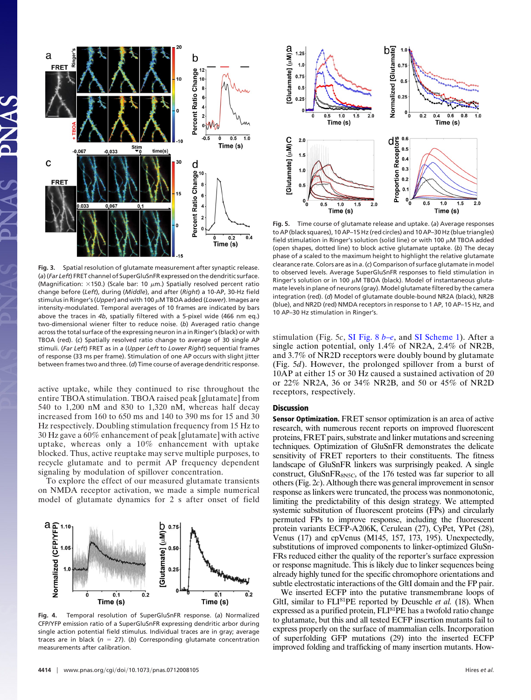

**Fig. 3.** Spatial resolution of glutamate measurement after synaptic release. (*a*) (*Far Left*) FRET channel of SuperGluSnFR expressed on the dendritic surface. (Magnification:  $\times$ 150.) (Scale bar: 10  $\mu$ m.) Spatially resolved percent ratio change before (*Left*), during (*Middle*), and after (*Right*) a 10-AP, 30-Hz field stimulus in Ringer's (*Upper*) and with 100  $\mu$ M TBOA added (*Lower*). Images are intensity-modulated. Temporal averages of 10 frames are indicated by bars above the traces in *4b*, spatially filtered with a 5-pixel wide (466 nm eq.) two-dimensional wiener filter to reduce noise. (*b*) Averaged ratio change across the total surface of the expressing neuron in *a* in Ringer's (black) or with TBOA (red). (*c*) Spatially resolved ratio change to average of 30 single AP stimuli. (*Far Left*) FRET as in *a* (*Upper Left* to *Lower Right*) sequential frames of response (33 ms per frame). Stimulation of one AP occurs with slight jitter between frames two and three. (*d*) Time course of average dendritic response.

active uptake, while they continued to rise throughout the entire TBOA stimulation. TBOA raised peak [glutamate] from 540 to 1,200 nM and 830 to 1,320 nM, whereas half decay increased from 160 to 650 ms and 140 to 390 ms for 15 and 30 Hz respectively. Doubling stimulation frequency from 15 Hz to 30 Hz gave a 60% enhancement of peak [glutamate] with active uptake, whereas only a 10% enhancement with uptake blocked. Thus, active reuptake may serve multiple purposes, to recycle glutamate and to permit AP frequency dependent signaling by modulation of spillover concentration.

To explore the effect of our measured glutamate transients on NMDA receptor activation, we made a simple numerical model of glutamate dynamics for 2 s after onset of field



**Fig. 4.** Temporal resolution of SuperGluSnFR response. (*a*) Normalized CFP/YFP emission ratio of a SuperGluSnFR expressing dendritic arbor during single action potential field stimulus. Individual traces are in gray; average traces are in black  $(n = 27)$ . (b) Corresponding glutamate concentration measurements after calibration.



**Fig. 5.** Time course of glutamate release and uptake. (*a*) Average responses to AP (black squares), 10 AP–15 Hz (red circles) and 10 AP–30 Hz (blue triangles) field stimulation in Ringer's solution (solid line) or with 100  $\mu$ M TBOA added (open shapes, dotted line) to block active glutamate uptake. (*b*) The decay phase of *a* scaled to the maximum height to highlight the relative glutamate clearance rate. Colors are as in *a*. (*c*) Comparison of surface glutamate in model to observed levels. Average SuperGluSnFR responses to field stimulation in Ringer's solution or in 100  $\mu$ M TBOA (black). Model of instantaneous glutamate levels in plane of neurons (gray). Model glutamate filtered by the camera integration (red). (*d*) Model of glutamate double-bound NR2A (black), NR2B (blue), and NR2D (red) NMDA receptors in response to 1 AP, 10 AP–15 Hz, and 10 AP–30 Hz stimulation in Ringer's.

stimulation (Fig. 5*c*, [SI Fig. 8](http://www.pnas.org/cgi/content/full/0712008105/DC1) *b*–*e*, and [SI Scheme 1\)](http://www.pnas.org/cgi/content/full/0712008105/DC1). After a single action potential, only 1.4% of NR2A, 2.4% of NR2B, and 3.7% of NR2D receptors were doubly bound by glutamate (Fig. 5*d*). However, the prolonged spillover from a burst of 10AP at either 15 or 30 Hz caused a sustained activation of 20 or 22% NR2A, 36 or 34% NR2B, and 50 or 45% of NR2D receptors, respectively.

## **Discussion**

**Sensor Optimization.** FRET sensor optimization is an area of active research, with numerous recent reports on improved fluorescent proteins, FRET pairs, substrate and linker mutations and screening techniques. Optimization of GluSnFR demonstrates the delicate sensitivity of FRET reporters to their constituents. The fitness landscape of GluSnFR linkers was surprisingly peaked. A single construct, GluSnFR<sub>8N5C</sub>, of the 176 tested was far superior to all others (Fig. 2*c*). Although there was general improvement in sensor response as linkers were truncated, the process was nonmonotonic, limiting the predictability of this design strategy. We attempted systemic substitution of fluorescent proteins (FPs) and circularly permuted FPs to improve response, including the fluorescent protein variants ECFP-A206K, Cerulean (27), CyPet, YPet (28), Venus (17) and cpVenus (M145, 157, 173, 195). Unexpectedly, substitutions of improved components to linker-optimized GluSn-FRs reduced either the quality of the reporter's surface expression or response magnitude. This is likely due to linker sequences being already highly tuned for the specific chromophore orientations and subtle electrostatic interactions of the GltI domain and the FP pair.

We inserted ECFP into the putative transmembrane loops of GltI, similar to FLI<sup>81</sup>PE reported by Deuschle *et al.* (18). When expressed as a purified protein, FLI81PE has a twofold ratio change to glutamate, but this and all tested ECFP insertion mutants fail to express properly on the surface of mammalian cells. Incorporation of superfolding GFP mutations (29) into the inserted ECFP improved folding and trafficking of many insertion mutants. How-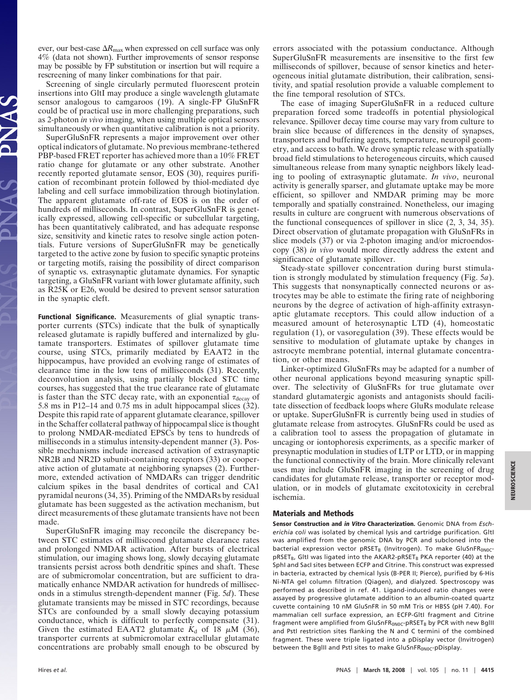ever, our best-case  $\Delta R_{\text{max}}$  when expressed on cell surface was only 4% (data not shown). Further improvements of sensor response may be possible by FP substitution or insertion but will require a rescreening of many linker combinations for that pair.

Screening of single circularly permuted fluorescent protein insertions into GltI may produce a single wavelength glutamate sensor analogous to camgaroos (19). A single-FP GluSnFR could be of practical use in more challenging preparations, such as 2-photon *in vivo* imaging, when using multiple optical sensors simultaneously or when quantitative calibration is not a priority.

SuperGluSnFR represents a major improvement over other optical indicators of glutamate. No previous membrane-tethered PBP-based FRET reporter has achieved more than a 10% FRET ratio change for glutamate or any other substrate. Another recently reported glutamate sensor, EOS (30), requires purification of recombinant protein followed by thiol-mediated dye labeling and cell surface immobilization through biotinylation. The apparent glutamate off-rate of EOS is on the order of hundreds of milliseconds. In contrast, SuperGluSnFR is genetically expressed, allowing cell-specific or subcellular targeting, has been quantitatively calibrated, and has adequate response size, sensitivity and kinetic rates to resolve single action potentials. Future versions of SuperGluSnFR may be genetically targeted to the active zone by fusion to specific synaptic proteins or targeting motifs, raising the possibility of direct comparison of synaptic vs. extrasynaptic glutamate dynamics. For synaptic targeting, a GluSnFR variant with lower glutamate affinity, such as R25K or E26, would be desired to prevent sensor saturation in the synaptic cleft.

**Functional Significance.** Measurements of glial synaptic transporter currents (STCs) indicate that the bulk of synaptically released glutamate is rapidly buffered and internalized by glutamate transporters. Estimates of spillover glutamate time course, using STCs, primarily mediated by EAAT2 in the hippocampus, have provided an evolving range of estimates of clearance time in the low tens of milliseconds (31). Recently, deconvolution analysis, using partially blocked STC time courses, has suggested that the true clearance rate of glutamate is faster than the STC decay rate, with an exponential  $\tau_{\text{decay}}$  of 5.8 ms in P12–14 and 0.75 ms in adult hippocampal slices (32). Despite this rapid rate of apparent glutamate clearance, spillover in the Schaffer collateral pathway of hippocampal slice is thought to prolong NMDAR-mediated EPSCs by tens to hundreds of milliseconds in a stimulus intensity-dependent manner (3). Possible mechanisms include increased activation of extrasynaptic NR2B and NR2D subunit-containing receptors (33) or cooperative action of glutamate at neighboring synapses (2). Furthermore, extended activation of NMDARs can trigger dendritic calcium spikes in the basal dendrites of cortical and CA1 pyramidal neurons (34, 35). Priming of the NMDARs by residual glutamate has been suggested as the activation mechanism, but direct measurements of these glutamate transients have not been made.

SuperGluSnFR imaging may reconcile the discrepancy between STC estimates of millisecond glutamate clearance rates and prolonged NMDAR activation. After bursts of electrical stimulation, our imaging shows long, slowly decaying glutamate transients persist across both dendritic spines and shaft. These are of submicromolar concentration, but are sufficient to dramatically enhance NMDAR activation for hundreds of milliseconds in a stimulus strength-dependent manner (Fig. 5*d*). These glutamate transients may be missed in STC recordings, because STCs are confounded by a small slowly decaying potassium conductance, which is difficult to perfectly compensate (31). Given the estimated EAAT2 glutamate  $K_d$  of 18  $\mu$ M (36), transporter currents at submicromolar extracellular glutamate concentrations are probably small enough to be obscured by errors associated with the potassium conductance. Although SuperGluSnFR measurements are insensitive to the first few milliseconds of spillover, because of sensor kinetics and heterogeneous initial glutamate distribution, their calibration, sensitivity, and spatial resolution provide a valuable complement to the fine temporal resolution of STCs.

The ease of imaging SuperGluSnFR in a reduced culture preparation forced some tradeoffs in potential physiological relevance. Spillover decay time course may vary from culture to brain slice because of differences in the density of synapses, transporters and buffering agents, temperature, neuropil geometry, and access to bath. We drove synaptic release with spatially broad field stimulations to heterogeneous circuits, which caused simultaneous release from many synaptic neighbors likely leading to pooling of extrasynaptic glutamate. *In vivo*, neuronal activity is generally sparser, and glutamate uptake may be more efficient, so spillover and NMDAR priming may be more temporally and spatially constrained. Nonetheless, our imaging results in culture are congruent with numerous observations of the functional consequences of spillover in slice (2, 3, 34, 35). Direct observation of glutamate propagation with GluSnFRs in slice models (37) or via 2-photon imaging and/or microendoscopy (38) *in vivo* would more directly address the extent and significance of glutamate spillover.

Steady-state spillover concentration during burst stimulation is strongly modulated by stimulation frequency (Fig. 5*a*). This suggests that nonsynaptically connected neurons or astrocytes may be able to estimate the firing rate of neighboring neurons by the degree of activation of high-affinity extrasynaptic glutamate receptors. This could allow induction of a measured amount of heterosynaptic LTD (4), homeostatic regulation (1), or vasoregulation (39). These effects would be sensitive to modulation of glutamate uptake by changes in astrocyte membrane potential, internal glutamate concentration, or other means.

Linker-optimized GluSnFRs may be adapted for a number of other neuronal applications beyond measuring synaptic spillover. The selectivity of GluSnFRs for true glutamate over standard glutamatergic agonists and antagonists should facilitate dissection of feedback loops where GluRs modulate release or uptake. SuperGluSnFR is currently being used in studies of glutamate release from astrocytes. GluSnFRs could be used as a calibration tool to assess the propagation of glutamate in uncaging or iontophoresis experiments, as a specific marker of presynaptic modulation in studies of LTP or LTD, or in mapping the functional connectivity of the brain. More clinically relevant uses may include GluSnFR imaging in the screening of drug candidates for glutamate release, transporter or receptor modulation, or in models of glutamate excitotoxicity in cerebral ischemia.

### **Materials and Methods**

**Sensor Construction and in Vitro Characterization.** Genomic DNA from *Escherichia coli* was isolated by chemical lysis and cartridge purification. GltI was amplified from the genomic DNA by PCR and subcloned into the bacterial expression vector  $pRSET_B$  (Invitrogen). To make GluSnFR<sub>0N0C</sub>pRSET<sub>B</sub>, GltI was ligated into the AKAR2-pRSET<sub>B</sub> PKA reporter (40) at the SphI and SacI sites between ECFP and Citrine. This construct was expressed in bacteria, extracted by chemical lysis (B-PER II; Pierce), purified by 6-His Ni-NTA gel column filtration (Qiagen), and dialyzed. Spectroscopy was performed as described in ref. 41. Ligand-induced ratio changes were assayed by progressive glutamate addition to an albumin-coated quartz cuvette containing 10 nM GluSnFR in 50 mM Tris or HBSS (pH 7.40). For mammalian cell surface expression, an ECFP-GltI fragment and Citrine fragment were amplified from GluSnFR $_{0N0C}$ -pRSET<sub>B</sub> by PCR with new BglII and PstI restriction sites flanking the N and C termini of the combined fragment. These were triple ligated into a pDisplay vector (Invitrogen) between the BgIII and PstI sites to make GluSnFR<sub>0N0C</sub>-pDisplay.